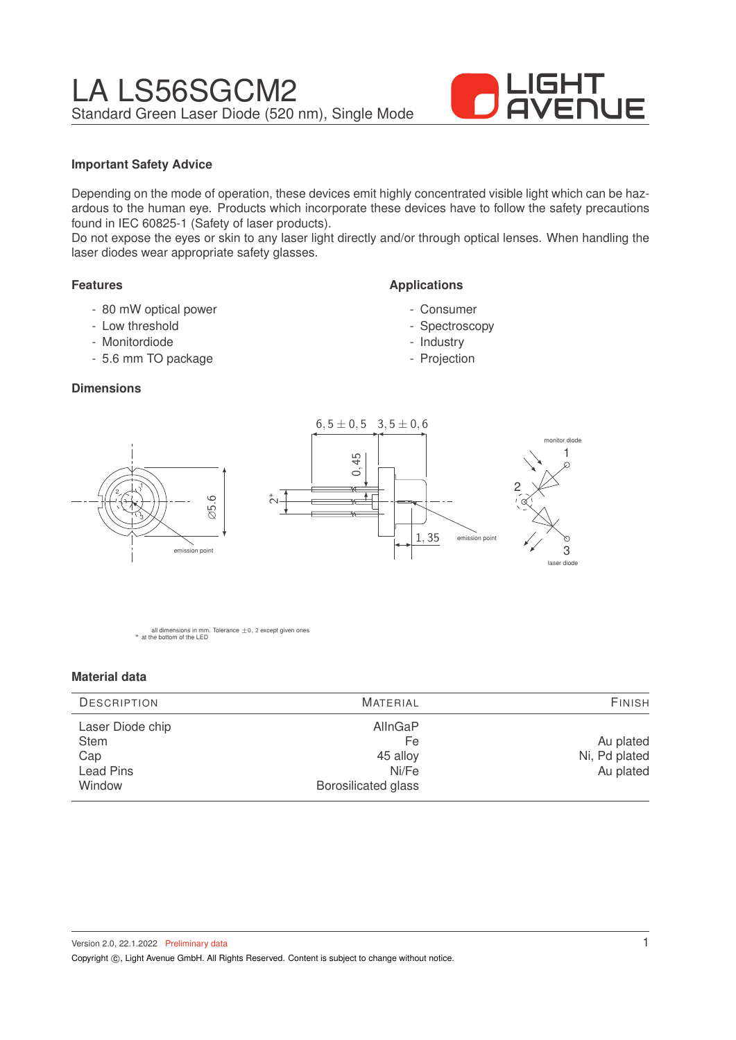

## **Important Safety Advice**

Depending on the mode of operation, these devices emit highly concentrated visible light which can be hazardous to the human eye. Products which incorporate these devices have to follow the safety precautions found in IEC 60825-1 (Safety of laser products).

Do not expose the eyes or skin to any laser light directly and/or through optical lenses. When handling the laser diodes wear appropriate safety glasses.

### **Features**

- 80 mW optical power
- Low threshold
- Monitordiode

1

3

2

- 5.6 mm TO package

### **Dimensions**

0, 45 ້∾  $6, 5 \pm 0, 5 \quad 3, 5 \pm 0, 6$  $1, 35$  emission point 1 3 2 laser diode mitor diode

**Applications**

- Consumer - Spectroscopy - Industry - Projection

all dimensions in mm. Tolerance  $\pm$ 0, 2 except given ones \* at the bottom of the LED

∅5.6

emission point

#### **Material data**

| <b>DESCRIPTION</b>                                            | <b>MATERIAL</b>                                                  |                                         |
|---------------------------------------------------------------|------------------------------------------------------------------|-----------------------------------------|
| Laser Diode chip<br><b>Stem</b><br>Cap<br>Lead Pins<br>Window | AllnGaP<br>Fe<br>45 alloy<br>Ni/Fe<br><b>Borosilicated glass</b> | Au plated<br>Ni, Pd plated<br>Au plated |

Version 2.0, 22.1.2022 Preliminary data Copyright  $\circled{c}$ , Light Avenue GmbH. All Rights Reserved. Content is subject to change without notice.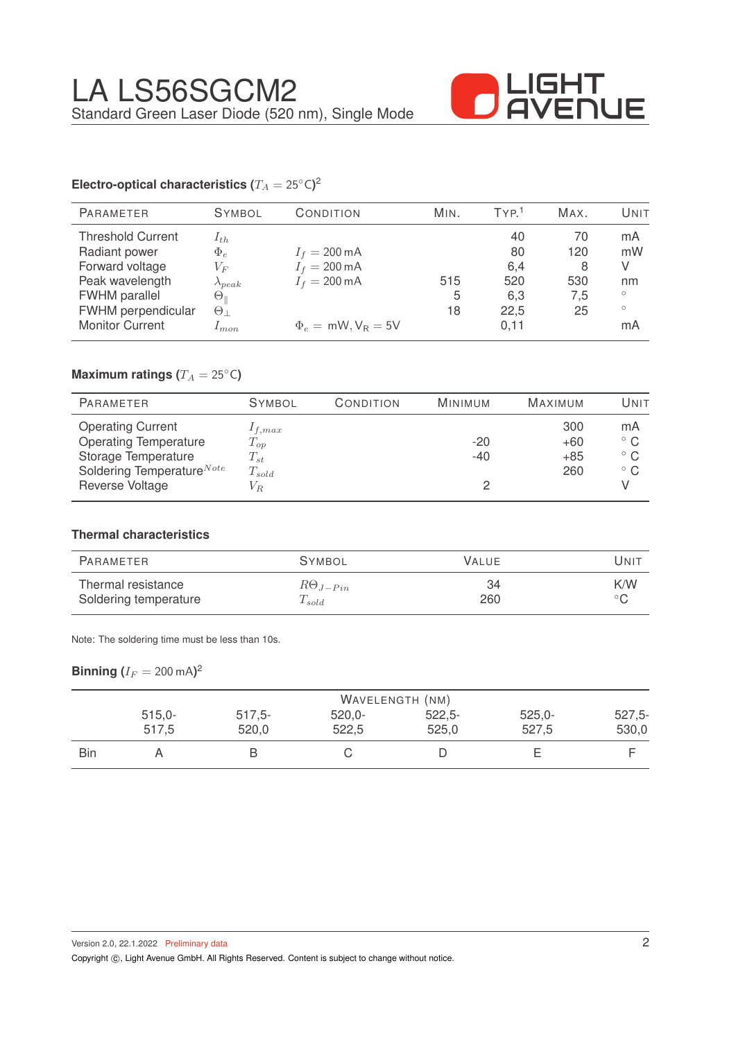

# **Electro-optical characteristics (** $T_A = 25°C$ **)<sup>2</sup>**

| <b>PARAMETER</b>         | <b>SYMBOL</b>      | CONDITION               | MIN. | TYP <sup>1</sup> | MAX. | UNIT    |
|--------------------------|--------------------|-------------------------|------|------------------|------|---------|
| <b>Threshold Current</b> | $1_{th}$           |                         |      | 40               | 70   | mA      |
| Radiant power            | $\Phi_e$           | $I_f = 200 \,\text{mA}$ |      | 80               | 120  | mW      |
| Forward voltage          | $V_{F}$            | $I_f = 200 \,\text{mA}$ |      | 6,4              | 8    | V       |
| Peak wavelength          | $\lambda_{peak}$   | $I_f = 200 \text{ mA}$  | 515  | 520              | 530  | nm      |
| <b>FWHM</b> parallel     | $\Theta_\parallel$ |                         | 5    | 6,3              | 7.5  | $\circ$ |
| FWHM perpendicular       | $\Theta_{\perp}$   |                         | 18   | 22,5             | 25   | $\circ$ |
| <b>Monitor Current</b>   | $1$ m.on.          | $\Phi_e = mW, V_R = 5V$ |      | 0.11             |      | mA      |
|                          |                    |                         |      |                  |      |         |

## **Maximum ratings (** $T_A = 25$ °C)

| <b>PARAMETER</b>                                                                                                         | <b>SYMBOL</b>                                     | CONDITION | MINIMUM        | <b>MAXIMUM</b>               | Unit                                               |
|--------------------------------------------------------------------------------------------------------------------------|---------------------------------------------------|-----------|----------------|------------------------------|----------------------------------------------------|
| <b>Operating Current</b><br><b>Operating Temperature</b><br>Storage Temperature<br>Soldering Temperature <sup>Note</sup> | $1_{f,max}$<br>$T_{op}$<br>$T_{st}$<br>$T_{sold}$ |           | $-20$<br>$-40$ | 300<br>$+60$<br>$+85$<br>260 | mA<br>$^{\circ}$ C<br>$^{\circ}$ C<br>$^{\circ}$ C |
| Reverse Voltage                                                                                                          | $V_{R}$                                           |           |                |                              |                                                    |

### **Thermal characteristics**

| PARAMETER             | <b>SYMBOL</b>     | VALUE | UNIT           |
|-----------------------|-------------------|-------|----------------|
| Thermal resistance    | $R\Theta_{J-Pin}$ | 34    | K/W            |
| Soldering temperature | $T_{sold}$        | 260   | $\circ$ $\sim$ |

Note: The soldering time must be less than 10s.

## $\mathsf{Binning}\left(I_F=200\,\mathrm{mA}\right)^2$

|            | WAVELENGTH (NM) |          |          |          |          |          |
|------------|-----------------|----------|----------|----------|----------|----------|
|            | $515,0-$        | $517,5-$ | $520,0-$ | $522,5-$ | $525,0-$ | $527,5-$ |
|            | 517,5           | 520,0    | 522,5    | 525,0    | 527,5    | 530,0    |
| <b>Bin</b> |                 |          |          |          |          |          |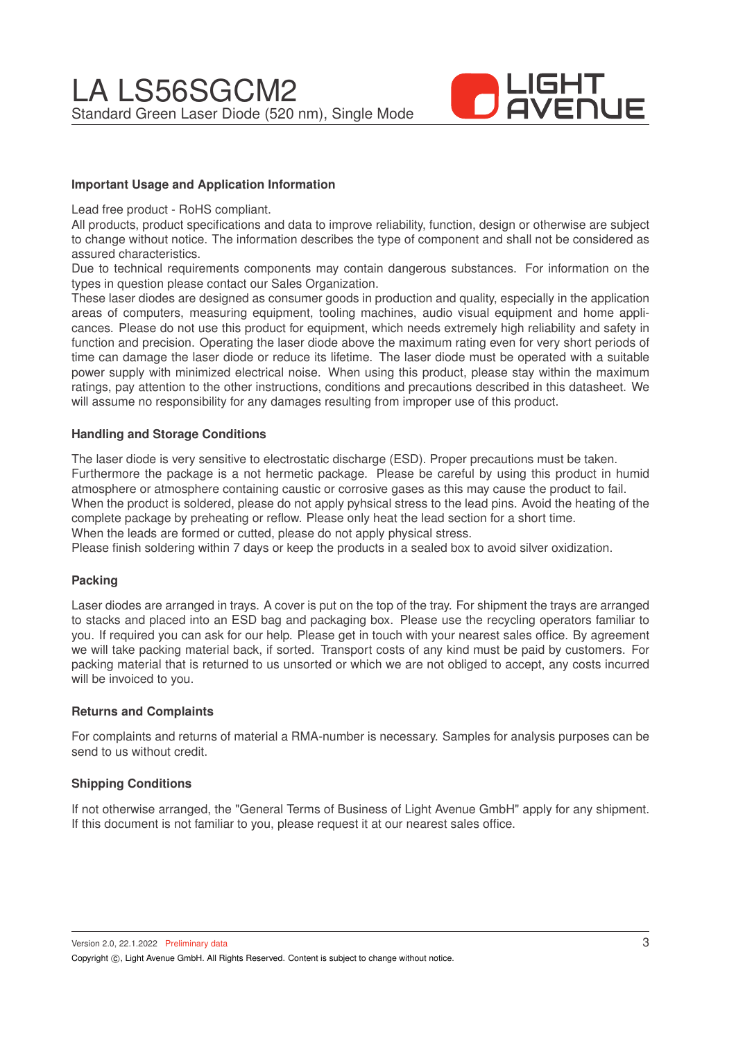

### **Important Usage and Application Information**

Lead free product - RoHS compliant.

All products, product specifications and data to improve reliability, function, design or otherwise are subject to change without notice. The information describes the type of component and shall not be considered as assured characteristics.

Due to technical requirements components may contain dangerous substances. For information on the types in question please contact our Sales Organization.

These laser diodes are designed as consumer goods in production and quality, especially in the application areas of computers, measuring equipment, tooling machines, audio visual equipment and home applicances. Please do not use this product for equipment, which needs extremely high reliability and safety in function and precision. Operating the laser diode above the maximum rating even for very short periods of time can damage the laser diode or reduce its lifetime. The laser diode must be operated with a suitable power supply with minimized electrical noise. When using this product, please stay within the maximum ratings, pay attention to the other instructions, conditions and precautions described in this datasheet. We will assume no responsibility for any damages resulting from improper use of this product.

### **Handling and Storage Conditions**

The laser diode is very sensitive to electrostatic discharge (ESD). Proper precautions must be taken. Furthermore the package is a not hermetic package. Please be careful by using this product in humid atmosphere or atmosphere containing caustic or corrosive gases as this may cause the product to fail. When the product is soldered, please do not apply pyhsical stress to the lead pins. Avoid the heating of the complete package by preheating or reflow. Please only heat the lead section for a short time. When the leads are formed or cutted, please do not apply physical stress.

Please finish soldering within 7 days or keep the products in a sealed box to avoid silver oxidization.

### **Packing**

Laser diodes are arranged in trays. A cover is put on the top of the tray. For shipment the trays are arranged to stacks and placed into an ESD bag and packaging box. Please use the recycling operators familiar to you. If required you can ask for our help. Please get in touch with your nearest sales office. By agreement we will take packing material back, if sorted. Transport costs of any kind must be paid by customers. For packing material that is returned to us unsorted or which we are not obliged to accept, any costs incurred will be invoiced to you.

### **Returns and Complaints**

For complaints and returns of material a RMA-number is necessary. Samples for analysis purposes can be send to us without credit.

### **Shipping Conditions**

If not otherwise arranged, the "General Terms of Business of Light Avenue GmbH" apply for any shipment. If this document is not familiar to you, please request it at our nearest sales office.

Version 2.0, 22.1.2022 Preliminary data Copyright (C), Light Avenue GmbH. All Rights Reserved. Content is subject to change without notice.